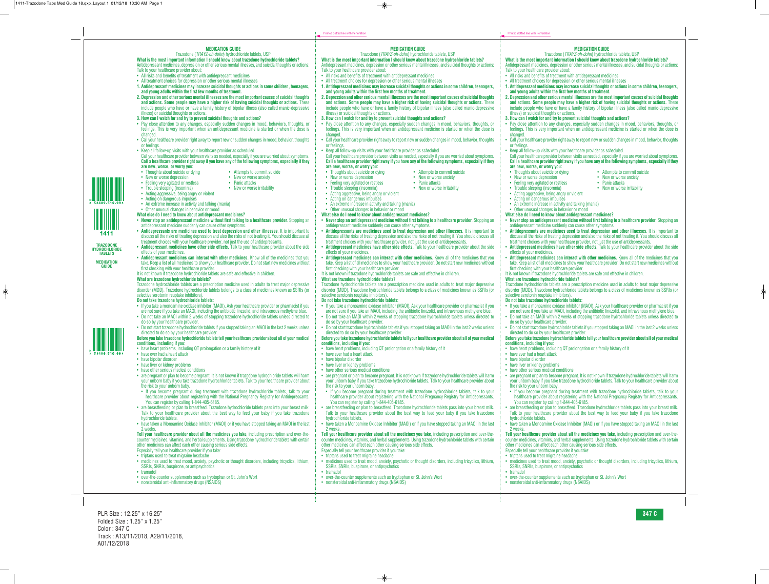#### **MEDICATION GUIDE**

#### Trazodone (*TRAYZ-oh-dohn*) hydrochloride tablets, USP

**What is the most important information I should know about trazodone hydrochloride tablets?** Antidepressant medicines, depression or other serious mental illnesses, and suicidal thoughts or actions: Talk to your healthcare provider about:

- All risks and benefits of treatment with antidepressant medicines
- All treatment choices for depression or other serious mental illnesses
- **1. Antidepressant medicines may increase suicidal thoughts or actions in some children, teenagers, and young adults within the first few months of treatment.**
- **2. Depression and other serious mental illnesses are the most important causes of suicidal thoughts and actions. Some people may have a higher risk of having suicidal thoughts or actions.** These include people who have or have a family history of bipolar illness (also called manic-depressive illness) or suicidal thoughts or actions.
- **3. How can I watch for and try to prevent suicidal thoughts and actions?**
- Pay close attention to any changes, especially sudden changes in mood, behaviors, thoughts, or feelings. This is very important when an antidepressant medicine is started or when the dose is changed.
- Call your healthcare provider right away to report new or sudden changes in mood, behavior, thoughts or feelings.
- Keep all follow-up visits with your healthcare provider as scheduled.

#### Call your healthcare provider between visits as needed, especially if you are worried about symptoms. **Call a healthcare provider right away if you have any of the following symptoms, especially if they are new, worse, or worry you:**

- 
- 
- New or worse depression New or worse anxiety<br>• Feeling very agitated or restless Panic attacks
- Feeling very agitated or restless
- Acting aggressive, being angry or violent
- Acting on dangerous impulses
- 
- An extreme increase in activity and talking (mania)
- Other unusual changes in behavior or mood
- **What else do I need to know about antidepressant medicines?**
- **Never stop an antidepressant medicine without first talking to a healthcare provider**. Stopping an antidepressant medicine suddenly can cause other symptoms.
- **Antidepressants are medicines used to treat depression and other illnesses**. It is important to discuss all the risks of treating depression and also the risks of not treating it. You should discuss all treatment choices with your healthcare provider, not just the use of antidepressants.
- **Antidepressant medicines have other side effects.** Talk to your healthcare provider about the side effects of your medicines.
- **Antidepressant medicines can interact with other medicines.** Know all of the medicines that you take. Keep a list of all medicines to show your healthcare provider. Do not start new medicines without first checking with your healthcare provider.
- It is not known if trazodone hydrochloride tablets are safe and effective in children.

#### **What are trazodone hydrochloride tablets?**

Trazodone hydrochloride tablets are a prescription medicine used in adults to treat major depressive disorder (MDD). Trazodone hydrochloride tablets belongs to a class of medicines known as SSRIs (or selective serotonin reuptake inhibitors).

### **Do not take trazodone hydrochloride tablets:**

- If you take a monoamine oxidase inhibitor (MAOI). Ask your healthcare provider or pharmacist if you are not sure if you take an MAOI, including the antibiotic linezolid, and intravenous methylene blue.
- Do not take an MAOI within 2 weeks of stopping trazodone hydrochloride tablets unless directed to do so by your healthcare provider.
- Do not start trazodone hydrochloride tablets if you stopped taking an MAOI in the last 2 weeks unless directed to do so by your healthcare provider.

#### **Before you take trazodone hydrochloride tablets tell your healthcare provider about all of your medical conditions, including if you:**

- have heart problems, including QT prolongation or a family history of it
- have ever had a heart attack
- have bipolar disorder
- have liver or kidney problems
- have other serious medical conditions
- are pregnant or plan to become pregnant. It is not known if trazodone hydrochloride tablets will harm your unborn baby if you take trazodone hydrochloride tablets. Talk to your healthcare provider about the risk to your unborn baby.
	- If you become pregnant during treatment with trazodone hydrochloride tablets, talk to your healthcare provider about registering with the National Pregnancy Registry for Antidepressants. You can register by calling 1-844-405-6185.
- are breastfeeding or plan to breastfeed. Trazodone hydrochloride tablets pass into your breast milk. Talk to your healthcare provider about the best way to feed your baby if you take trazodone hydrochloride tablets.
- have taken a Monoamine Oxidase Inhibitor (MAOI) or if you have stopped taking an MAOI in the last 2 weeks.

**Tell your healthcare provider about all the medicines you take**, including prescription and over-thecounter medicines, vitamins, and herbal supplements. Using trazodone hydrochloride tablets with certain other medicines can affect each other causing serious side effects. Especially tell your healthcare provider if you take:

- triptans used to treat migraine headache
- medicines used to treat mood, anxiety, psychotic or thought disorders, including tricyclics, lithium, SSRIs, SNRIs, buspirone, or antipsychotics
- tramadol
- over-the-counter supplements such as tryptophan or St. John's Wort
- nonsteroidal anti-inflammatory drugs (NSAIDS)
- Thoughts about suicide or dying Attempts to commit suicide
	-
	-
- Trouble sleeping (insomnia) New or worse irritability